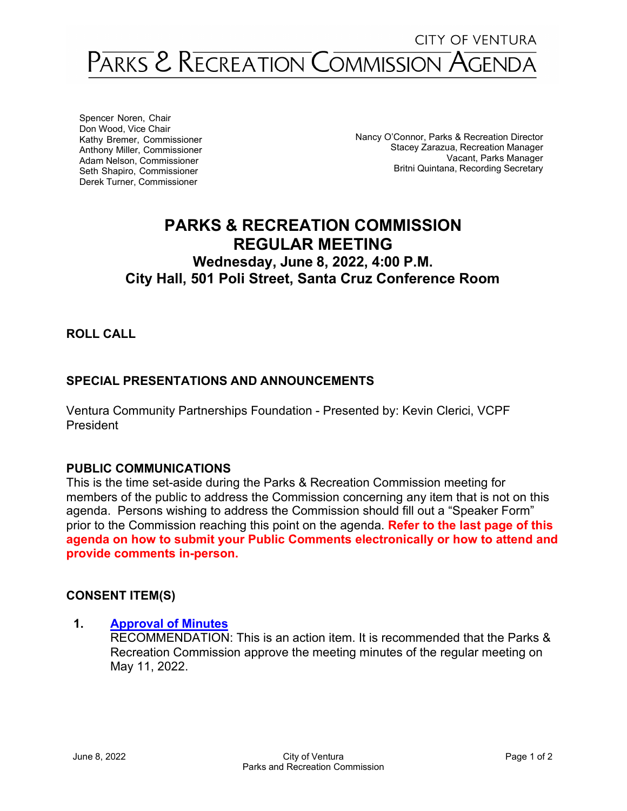## PARKS & RECREATION COMMISSION AGENDA

Spencer Noren, Chair Don Wood, Vice Chair Kathy Bremer, Commissioner Anthony Miller, Commissioner Adam Nelson, Commissioner Seth Shapiro, Commissioner Derek Turner, Commissioner

Nancy O'Connor, Parks & Recreation Director Stacey Zarazua, Recreation Manager Vacant, Parks Manager Britni Quintana, Recording Secretary

## **PARKS & RECREATION COMMISSION REGULAR MEETING Wednesday, June 8, 2022, 4:00 P.M. City Hall, 501 Poli Street, Santa Cruz Conference Room**

**ROLL CALL**

## **SPECIAL PRESENTATIONS AND ANNOUNCEMENTS**

Ventura Community Partnerships Foundation - Presented by: Kevin Clerici, VCPF President

## **PUBLIC COMMUNICATIONS**

This is the time set-aside during the Parks & Recreation Commission meeting for members of the public to address the Commission concerning any item that is not on this agenda. Persons wishing to address the Commission should fill out a "Speaker Form" prior to the Commission reaching this point on the agenda. **Refer to the last page of this agenda on how to submit your Public Comments electronically or how to attend and provide comments in-person.**

## **CONSENT ITEM(S)**

## **1. [Approval](https://www.cityofventura.ca.gov/DocumentCenter/View/31854/1---Meeting-Minutes-5112022-draft) of Minutes**

RECOMMENDATION: This is an action item. It is recommended that the Parks & Recreation Commission approve the meeting minutes of the regular meeting on May 11, 2022.